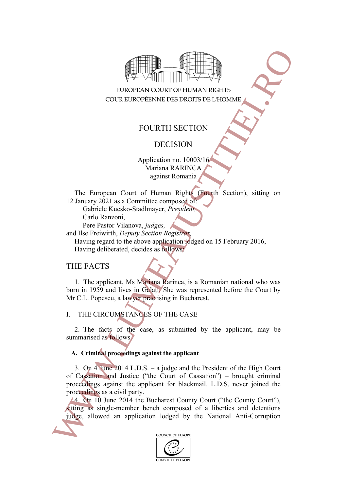

# FOURTH SECTION

# DECISION

Application no. 10003/16 Mariana RARINCA against Romania

The European Court of Human Rights (Fourth Section), sitting on 12 January 2021 as a Committee composed of:

Gabriele Kucsko-Stadlmayer, *President,*

Carlo Ranzoni,

Pere Pastor Vilanova, *judges,*

and Ilse Freiwirth, *Deputy Section Registrar,*

Having regard to the above application lodged on 15 February 2016,

Having deliberated, decides as follows:

# THE FACTS

1. The applicant, Ms Mariana Rarinca, is a Romanian national who was born in 1959 and lives in Galați. She was represented before the Court by Mr C.L. Popescu, a lawyer practising in Bucharest.

## I. THE CIRCUMSTANCES OF THE CASE

2. The facts of the case, as submitted by the applicant, may be summarised as follows.

## **A. Criminal proceedings against the applicant**

3. On 4 June 2014 L.D.S. – a judge and the President of the High Court of Cassation and Justice ("the Court of Cassation") – brought criminal proceedings against the applicant for blackmail. L.D.S. never joined the proceedings as a civil party. Fig. 1. THE CROCONS (ANGES OF THE CASE of the National Anti-Corruption lodged by the National Anti-Corruption lodged by the National Anti-Corruption Case (1.19) and three Anti-Correlation lodged on 15 February 2016, the N

<span id="page-0-0"></span>4. On 10 June 2014 the Bucharest County Court ("the County Court"), sitting as single-member bench composed of a liberties and detentions

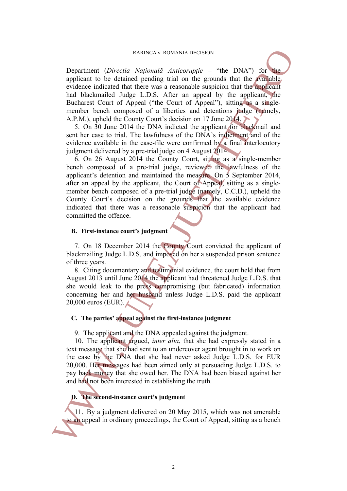#### RARINCA v. ROMANIA DECISION

Department (*Direcția Națională Anticorupție* – "the DNA") for the applicant to be detained pending trial on the grounds that the available evidence indicated that there was a reasonable suspicion that the applicant had blackmailed Judge L.D.S. After an appeal by the applicant, the Bucharest Court of Appeal ("the Court of Appeal"), sitting as a singlemember bench composed of a liberties and detentions judge (namely, A.P.M.), upheld the County Court's decision on 17 June 2014.

<span id="page-1-0"></span>5. On 30 June 2014 the DNA indicted the applicant for blackmail and sent her case to trial. The lawfulness of the DNA's indictment and of the evidence available in the case-file were confirmed by a final interlocutory judgment delivered by a pre-trial judge on 4 August 2014.

6. On 26 August 2014 the County Court, sitting as a single-member bench composed of a pre-trial judge, reviewed the lawfulness of the applicant's detention and maintained the measure. On 5 September 2014, after an appeal by the applicant, the Court of Appeal, sitting as a singlemember bench composed of a pre-trial judge (namely, C.C.D.), upheld the County Court's decision on the grounds that the available evidence indicated that there was a reasonable suspicion that the applicant had committed the offence. Expansional (*Directial* Agricular Actions) and the court of the Court of Appeal, and the Court of Appeal, and the Court of Appeal, the Court of Appeal, the Court of Appeal, the Court of Appeal, the Court of Appeal, the C

#### **B. First-instance court's judgment**

7. On 18 December 2014 the County Court convicted the applicant of blackmailing Judge L.D.S. and imposed on her a suspended prison sentence of three years.

8. Citing documentary and testimonial evidence, the court held that from August 2013 until June 2014 the applicant had threatened Judge L.D.S. that she would leak to the press compromising (but fabricated) information concerning her and her husband unless Judge L.D.S. paid the applicant 20,000 euros (EUR).

### **C. The parties' appeal against the first-instance judgment**

9. The applicant and the DNA appealed against the judgment.

10. The applicant argued, *inter alia*, that she had expressly stated in a text message that she had sent to an undercover agent brought in to work on the case by the DNA that she had never asked Judge L.D.S. for EUR 20,000. Her messages had been aimed only at persuading Judge L.D.S. to pay back money that she owed her. The DNA had been biased against her and had not been interested in establishing the truth.

### **D. The second-instance court's judgment**

11. By a judgment delivered on 20 May 2015, which was not amenable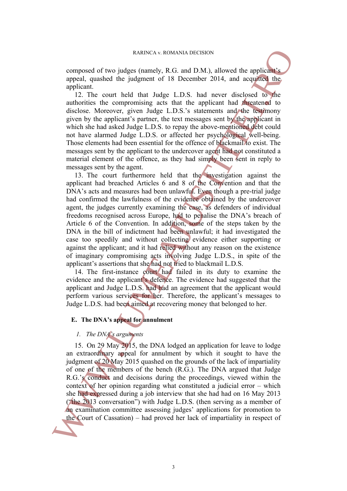composed of two judges (namely, R.G. and D.M.), allowed the applicant's appeal, quashed the judgment of 18 December 2014, and acquitted the applicant.

12. The court held that Judge L.D.S. had never disclosed to the authorities the compromising acts that the applicant had threatened to disclose. Moreover, given Judge L.D.S.'s statements and the testimony given by the applicant's partner, the text messages sent by the applicant in which she had asked Judge L.D.S. to repay the above-mentioned debt could not have alarmed Judge L.D.S. or affected her psychological well-being. Those elements had been essential for the offence of blackmail to exist. The messages sent by the applicant to the undercover agent had not constituted a material element of the offence, as they had simply been sent in reply to messages sent by the agent.

13. The court furthermore held that the investigation against the applicant had breached Articles 6 and 8 of the Convention and that the DNA's acts and measures had been unlawful. Even though a pre-trial judge had confirmed the lawfulness of the evidence obtained by the undercover agent, the judges currently examining the case, as defenders of individual freedoms recognised across Europe, had to penalise the DNA's breach of Article 6 of the Convention. In addition, some of the steps taken by the DNA in the bill of indictment had been unlawful; it had investigated the case too speedily and without collecting evidence either supporting or against the applicant; and it had relied without any reason on the existence of imaginary compromising acts involving Judge L.D.S., in spite of the applicant's assertions that she had not tried to blackmail L.D.S. EXERCA v. ROMANIA DECISION<br>appears of two judges furnely, R.C. and D.M.), allowed the applicant<br>appear appear of the superfice appear of the Successive and the appear of the sumministing acts that the court<br>of the Court o

14. The first-instance court had failed in its duty to examine the evidence and the applicant's defence. The evidence had suggested that the applicant and Judge L.D.S. had had an agreement that the applicant would perform various services for her. Therefore, the applicant's messages to Judge L.D.S. had been aimed at recovering money that belonged to her.

#### **E. The DNA's appeal for annulment**

#### <span id="page-2-0"></span>*1. The DNA's arguments*

15. On 29 May 2015, the DNA lodged an application for leave to lodge an extraordinary appeal for annulment by which it sought to have the judgment of 20 May 2015 quashed on the grounds of the lack of impartiality of one of the members of the bench (R.G.). The DNA argued that Judge R.G.'s conduct and decisions during the proceedings, viewed within the context of her opinion regarding what constituted a judicial error – which she had expressed during a job interview that she had had on 16 May 2013 ("the 2013 conversation") with Judge L.D.S. (then serving as a member of an examination committee assessing judges' applications for promotion to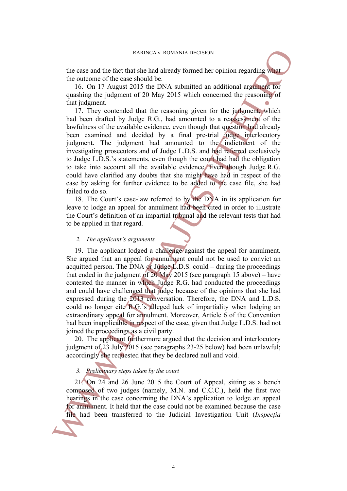the case and the fact that she had already formed her opinion regarding what the outcome of the case should be.

16. On 17 August 2015 the DNA submitted an additional argument for quashing the judgment of 20 May 2015 which concerned the reasoning of that judgment.

17. They contended that the reasoning given for the judgment, which had been drafted by Judge R.G., had amounted to a reassessment of the lawfulness of the available evidence, even though that question had already been examined and decided by a final pre-trial judge interlocutory judgment. The judgment had amounted to the indictment of the investigating prosecutors and of Judge L.D.S. and had referred exclusively to Judge L.D.S.'s statements, even though the court had had the obligation to take into account all the available evidence. Even though Judge R.G. could have clarified any doubts that she might have had in respect of the case by asking for further evidence to be added to the case file, she had failed to do so.

18. The Court's case-law referred to by the DNA in its application for leave to lodge an appeal for annulment had been cited in order to illustrate the Court's definition of an impartial tribunal and the relevant tests that had to be applied in that regard.

#### *2. The applicant's arguments*

19. The applicant lodged a challenge against the appeal for annulment. She argued that an appeal for annulment could not be used to convict an acquitted person. The DNA or Judge L.D.S. could – during the proceedings that ended in the judgment of  $20$  May  $2015$  (see paragraph 15 above) – have contested the manner in which Judge R.G. had conducted the proceedings and could have challenged that judge because of the opinions that she had expressed during the 2013 conversation. Therefore, the DNA and L.D.S. could no longer cite R.G.'s alleged lack of impartiality when lodging an extraordinary appeal for annulment. Moreover, Article 6 of the Convention had been inapplicable in respect of the case, given that Judge L.D.S. had not joined the proceedings as a civil party. file uses and the first that she had been transferred to the Content<br>of the Diff August 2015 for a DMA substituted an additional argument of<br>16. On 17 August 2016 for DMA substituted an additional argument of<br>this ingluent

20. The applicant furthermore argued that the decision and interlocutory judgment of 23 July 2015 (see paragraphs 23-25 below) had been unlawful; accordingly she requested that they be declared null and void.

#### *3. Preliminary steps taken by the court*

21. On 24 and 26 June 2015 the Court of Appeal, sitting as a bench composed of two judges (namely, M.N. and C.C.C.), held the first two hearings in the case concerning the DNA's application to lodge an appeal for annulment. It held that the case could not be examined because the case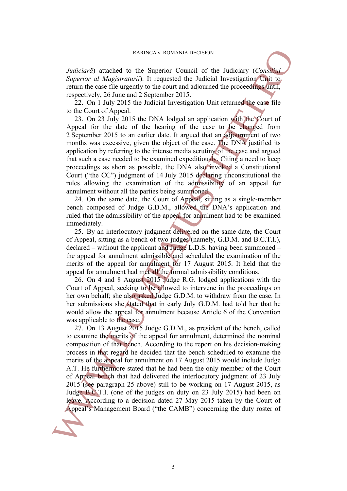*Judiciară*) attached to the Superior Council of the Judiciary (*Consiliul Superior al Magistraturii*). It requested the Judicial Investigation Unit to return the case file urgently to the court and adjourned the proceedings until. respectively, 26 June and 2 September 2015.

22. On 1 July 2015 the Judicial Investigation Unit returned the case file to the Court of Appeal.

<span id="page-4-0"></span>23. On 23 July 2015 the DNA lodged an application with the Court of Appeal for the date of the hearing of the case to be changed from 2 September 2015 to an earlier date. It argued that an adjournment of two months was excessive, given the object of the case. The DNA justified its application by referring to the intense media scrutiny of the case and argued that such a case needed to be examined expeditiously. Citing a need to keep proceedings as short as possible, the DNA also invoked a Constitutional Court ("the CC") judgment of 14 July 2015 declaring unconstitutional the rules allowing the examination of the admissibility of an appeal for annulment without all the parties being summoned.

<span id="page-4-2"></span>24. On the same date, the Court of Appeal, sitting as a single-member bench composed of Judge G.D.M., allowed the DNA's application and ruled that the admissibility of the appeal for annulment had to be examined immediately.

<span id="page-4-1"></span>25. By an interlocutory judgment delivered on the same date, the Court of Appeal, sitting as a bench of two judges (namely, G.D.M. and B.C.T.I.), declared – without the applicant and Judge L.D.S. having been summoned – the appeal for annulment admissible and scheduled the examination of the merits of the appeal for annulment for 17 August 2015. It held that the appeal for annulment had met all the formal admissibility conditions.

<span id="page-4-3"></span>26. On 4 and 8 August 2015 Judge R.G. lodged applications with the Court of Appeal, seeking to be allowed to intervene in the proceedings on her own behalf; she also asked Judge G.D.M. to withdraw from the case. In her submissions she stated that in early July G.D.M. had told her that he would allow the appeal for annulment because Article 6 of the Convention was applicable to the case.

27. On 13 August 2015 Judge G.D.M., as president of the bench, called to examine the merits of the appeal for annulment, determined the nominal composition of that bench. According to the report on his decision-making process in that regard he decided that the bench scheduled to examine the merits of the appeal for annulment on 17 August 2015 would include Judge A.T. He furthermore stated that he had been the only member of the Court of Appeal bench that had delivered the interlocutory judgment of 23 July 2015 (see paragraph 25 above) still to be working on 17 August 2015, as Judge B.C.T.I. (one of the judges on duty on 23 July 2015) had been on leave. According to a decision dated 27 May 2015 taken by the Court of Analtoiaris) utakenet a concerning transmit of the Lucling Consultant (Consultant) concerning the control of Management Board ("the CAMB") concerning the control of Management Board ("the Court of Appeal 25 the model in t

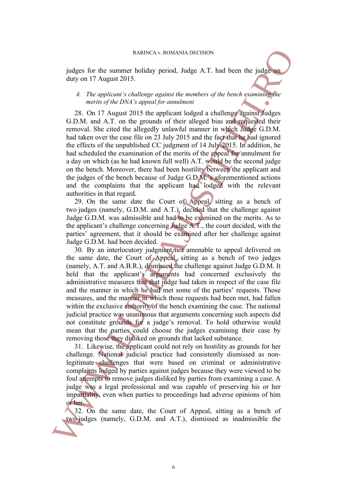judges for the summer holiday period, Judge A.T. had been the judge on duty on 17 August 2015.

### *4. The applicant's challenge against the members of the bench examining the merits of the DNA's appeal for annulment*

28. On 17 August 2015 the applicant lodged a challenge against Judges G.D.M. and A.T. on the grounds of their alleged bias and requested their removal. She cited the allegedly unlawful manner in which Judge G.D.M. had taken over the case file on 23 July 2015 and the fact that he had ignored the effects of the unpublished CC judgment of 14 July 2015. In addition, he had scheduled the examination of the merits of the appeal for annulment for a day on which (as he had known full well) A.T. would be the second judge on the bench. Moreover, there had been hostility between the applicant and the judges of the bench because of Judge G.D.M.'s aforementioned actions and the complaints that the applicant had lodged with the relevant authorities in that regard.

29. On the same date the Court of Appeal, sitting as a bench of two judges (namely, G.D.M. and A.T.), decided that the challenge against Judge G.D.M. was admissible and had to be examined on the merits. As to the applicant's challenge concerning Judge A.T., the court decided, with the parties' agreement, that it should be examined after her challenge against Judge G.D.M. had been decided.

30. By an interlocutory judgment not amenable to appeal delivered on the same date, the Court of Appeal, sitting as a bench of two judges (namely, A.T. and A.B.R.), dismissed the challenge against Judge G.D.M. It held that the applicant's arguments had concerned exclusively the administrative measures that that judge had taken in respect of the case file and the manner in which he had met some of the parties' requests. Those measures, and the manner in which those requests had been met, had fallen within the exclusive authority of the bench examining the case. The national judicial practice was unanimous that arguments concerning such aspects did not constitute grounds for a judge's removal. To hold otherwise would mean that the parties could choose the judges examining their case by removing those they disliked on grounds that lacked substance. EXERCA v. ROMANIA DECISION<br>
judges (nar the simulator both priced), Judget A.T. had been the judget<br>
duty on 17 Augus 2015.<br>
4. The applicantly challenge against the members of the brach consinues<br>
C.D.M. and A.T. were ab

31. Likewise, the applicant could not rely on hostility as grounds for her challenge. National judicial practice had consistently dismissed as nonlegitimate challenges that were based on criminal or administrative complaints lodged by parties against judges because they were viewed to be foul attempts to remove judges disliked by parties from examining a case. A judge was a legal professional and was capable of preserving his or her impartiality, even when parties to proceedings had adverse opinions of him or her.

32. On the same date, the Court of Appeal, sitting as a bench of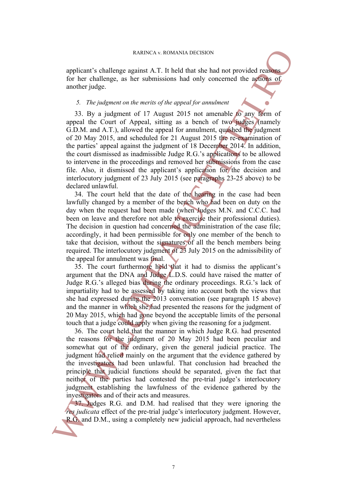applicant's challenge against A.T. It held that she had not provided reasons for her challenge, as her submissions had only concerned the actions of another judge.

### <span id="page-6-0"></span>*5. The judgment on the merits of the appeal for annulment*

33. By a judgment of 17 August 2015 not amenable to any form of appeal the Court of Appeal, sitting as a bench of two judges (namely G.D.M. and A.T.), allowed the appeal for annulment, quashed the judgment of 20 May 2015, and scheduled for 21 August 2015 the re-examination of the parties' appeal against the judgment of 18 December 2014. In addition, the court dismissed as inadmissible Judge R.G.'s applications to be allowed to intervene in the proceedings and removed her submissions from the case file. Also, it dismissed the applicant's application for the decision and interlocutory judgment of 23 July 2015 (see paragraphs 23-25 above) to be declared unlawful. RABREA v. a COMANIA DECISION<br>
for her challenge against A.T. It held that she had net provided reader<br>
for her challenge, as her submissions had only concerned the approach<br>
3. The judgment on the merits of the appeal for

<span id="page-6-1"></span>34. The court held that the date of the hearing in the case had been lawfully changed by a member of the bench who had been on duty on the day when the request had been made (when Judges M.N. and C.C.C. had been on leave and therefore not able to exercise their professional duties). The decision in question had concerned the administration of the case file; accordingly, it had been permissible for only one member of the bench to take that decision, without the signatures of all the bench members being required. The interlocutory judgment of 23 July 2015 on the admissibility of the appeal for annulment was final.

35. The court furthermore held that it had to dismiss the applicant's argument that the DNA and Judge L.D.S. could have raised the matter of Judge R.G.'s alleged bias during the ordinary proceedings. R.G.'s lack of impartiality had to be assessed by taking into account both the views that she had expressed during the 2013 conversation (see paragraph 15 above) and the manner in which she had presented the reasons for the judgment of 20 May 2015, which had gone beyond the acceptable limits of the personal touch that a judge could apply when giving the reasoning for a judgment.

36. The court held that the manner in which Judge R.G. had presented the reasons for the judgment of 20 May 2015 had been peculiar and somewhat out of the ordinary, given the general judicial practice. The judgment had relied mainly on the argument that the evidence gathered by the investigators had been unlawful. That conclusion had breached the principle that judicial functions should be separated, given the fact that neither of the parties had contested the pre-trial judge's interlocutory judgment establishing the lawfulness of the evidence gathered by the investigators and of their acts and measures.

37. Judges R.G. and D.M. had realised that they were ignoring the *res judicata* effect of the pre-trial judge's interlocutory judgment. However,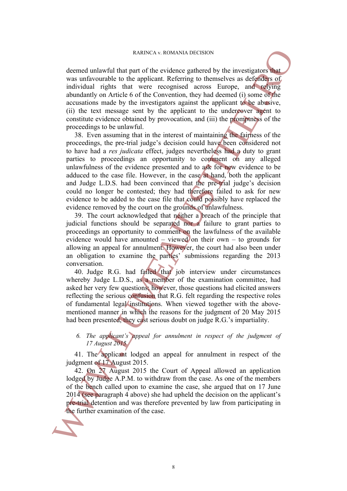deemed unlawful that part of the evidence gathered by the investigators that was unfavourable to the applicant. Referring to themselves as defenders of individual rights that were recognised across Europe, and relying abundantly on Article 6 of the Convention, they had deemed (i) some of the accusations made by the investigators against the applicant to be abusive, (ii) the text message sent by the applicant to the undercover agent to constitute evidence obtained by provocation, and (iii) the promptness of the proceedings to be unlawful.

38. Even assuming that in the interest of maintaining the fairness of the proceedings, the pre-trial judge's decision could have been considered not to have had a *res judicata* effect, judges nevertheless had a duty to grant parties to proceedings an opportunity to comment on any alleged unlawfulness of the evidence presented and to ask for new evidence to be adduced to the case file. However, in the case at hand, both the applicant and Judge L.D.S. had been convinced that the pre-trial judge's decision could no longer be contested; they had therefore failed to ask for new evidence to be added to the case file that could possibly have replaced the evidence removed by the court on the grounds of unlawfulness. Reason constants of the video increase of the video signature of the case of the case of the case in the case of the case of the case of the case of the case of the case of the case of the case of the case of the case of

39. The court acknowledged that neither a breach of the principle that judicial functions should be separated nor a failure to grant parties to proceedings an opportunity to comment on the lawfulness of the available evidence would have amounted – viewed on their own – to grounds for allowing an appeal for annulment. However, the court had also been under an obligation to examine the parties' submissions regarding the 2013 conversation.

40. Judge R.G. had failed that job interview under circumstances whereby Judge L.D.S., as a member of the examination committee, had asked her very few questions; however, those questions had elicited answers reflecting the serious confusion that R.G. felt regarding the respective roles of fundamental legal institutions. When viewed together with the abovementioned manner in which the reasons for the judgment of 20 May 2015 had been presented, they cast serious doubt on judge R.G.'s impartiality.

## *6. The applicant's appeal for annulment in respect of the judgment of 17 August 2015*

41. The applicant lodged an appeal for annulment in respect of the judgment of 17 August 2015.

42. On 27 August 2015 the Court of Appeal allowed an application lodged by Judge A.P.M. to withdraw from the case. As one of the members of the bench called upon to examine the case, she argued that on 17 June 2014 (see paragraph 4 above) she had upheld the decision on the applicant's pre-trial detention and was therefore prevented by law from participating in

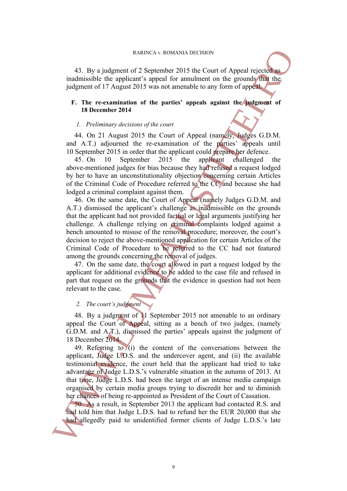43. By a judgment of 2 September 2015 the Court of Appeal rejected as inadmissible the applicant's appeal for annulment on the grounds that the judgment of 17 August 2015 was not amenable to any form of appeal.

### **F. The re-examination of the parties' appeals against the judgment of 18 December 2014**

#### *1. Preliminary decisions of the court*

44. On 21 August 2015 the Court of Appeal (namely, Judges G.D.M. and A.T.) adjourned the re-examination of the parties' appeals until 10 September 2015 in order that the applicant could prepare her defence.

45. On 10 September 2015 the applicant challenged the above-mentioned judges for bias because they had refused a request lodged by her to have an unconstitutionality objection concerning certain Articles of the Criminal Code of Procedure referred to the CC and because she had lodged a criminal complaint against them.

46. On the same date, the Court of Appeal (namely Judges G.D.M. and A.T.) dismissed the applicant's challenge as inadmissible on the grounds that the applicant had not provided factual or legal arguments justifying her challenge. A challenge relying on criminal complaints lodged against a bench amounted to misuse of the removal procedure; moreover, the court's decision to reject the above-mentioned application for certain Articles of the Criminal Code of Procedure to be referred to the CC had not featured among the grounds concerning the removal of judges. All Ry a junityntary is about to the unit of Appeal mission in the system of 2015 the Court of Appeal mission is a pair of the court of Appeal mission in the pair of Linear Clients of the court of the pair of Appeal missi

47. On the same date, the court allowed in part a request lodged by the applicant for additional evidence to be added to the case file and refused in part that request on the grounds that the evidence in question had not been relevant to the case.

### *2. The court's judgment*

48. By a judgment of 11 September 2015 not amenable to an ordinary appeal the Court of Appeal, sitting as a bench of two judges, (namely G.D.M. and A.T.), dismissed the parties' appeals against the judgment of 18 December 2014.

49. Referring to (i) the content of the conversations between the applicant, Judge L.D.S. and the undercover agent, and (ii) the available testimonial evidence, the court held that the applicant had tried to take advantage of Judge L.D.S.'s vulnerable situation in the autumn of 2013. At that time, Judge L.D.S. had been the target of an intense media campaign organised by certain media groups trying to discredit her and to diminish her chances of being re-appointed as President of the Court of Cassation.

50. As a result, in September 2013 the applicant had contacted R.S. and had told him that Judge L.D.S. had to refund her the EUR 20,000 that she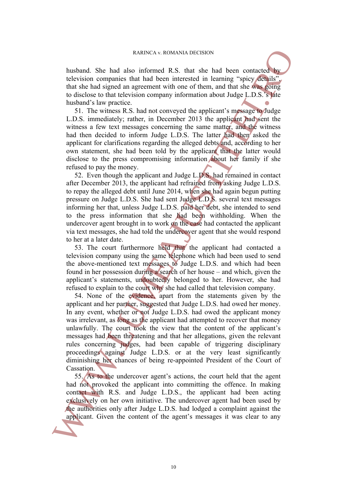husband. She had also informed R.S. that she had been contacted by television companies that had been interested in learning "spicy details", that she had signed an agreement with one of them, and that she was going to disclose to that television company information about Judge L.D.S.'s late husband's law practice.

51. The witness R.S. had not conveyed the applicant's message to Judge L.D.S. immediately; rather, in December 2013 the applicant had sent the witness a few text messages concerning the same matter, and the witness had then decided to inform Judge L.D.S. The latter had then asked the applicant for clarifications regarding the alleged debts and, according to her own statement, she had been told by the applicant that the latter would disclose to the press compromising information about her family if she refused to pay the money.

52. Even though the applicant and Judge L.D.S. had remained in contact after December 2013, the applicant had refrained from asking Judge L.D.S. to repay the alleged debt until June 2014, when she had again begun putting pressure on Judge L.D.S. She had sent Judge L.D.S. several text messages informing her that, unless Judge L.D.S. paid her debt, she intended to send to the press information that she had been withholding. When the undercover agent brought in to work on the case had contacted the applicant via text messages, she had told the undercover agent that she would respond to her at a later date.

53. The court furthermore held that the applicant had contacted a television company using the same telephone which had been used to send the above-mentioned text messages to Judge L.D.S. and which had been found in her possession during a search of her house – and which, given the applicant's statements, undoubtedly belonged to her. However, she had refused to explain to the court why she had called that television company.

54. None of the evidence, apart from the statements given by the applicant and her partner, suggested that Judge L.D.S. had owed her money. In any event, whether or not Judge L.D.S. had owed the applicant money was irrelevant, as long as the applicant had attempted to recover that money unlawfully. The court took the view that the content of the applicant's messages had been threatening and that her allegations, given the relevant rules concerning judges, had been capable of triggering disciplinary proceedings against Judge L.D.S. or at the very least significantly diminishing her chances of being re-appointed President of the Court of Cassation. International Ste hand show has the content of the content of the content of the content of the content of the content of the sine of the sine of the content of the content of the sine of the sine of the sine of the sine

<span id="page-9-0"></span>55. As to the undercover agent's actions, the court held that the agent had not provoked the applicant into committing the offence. In making contact with R.S. and Judge L.D.S., the applicant had been acting exclusively on her own initiative. The undercover agent had been used by the authorities only after Judge L.D.S. had lodged a complaint against the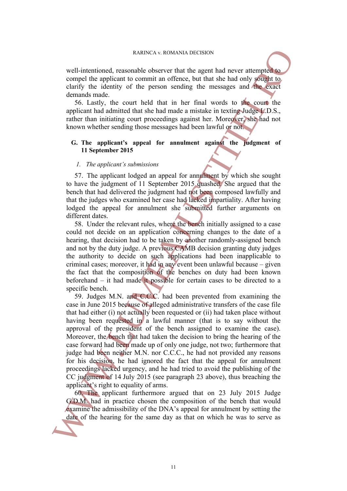well-intentioned, reasonable observer that the agent had never attempted to compel the applicant to commit an offence, but that she had only sought to. clarify the identity of the person sending the messages and the exact demands made.

56. Lastly, the court held that in her final words to the court the applicant had admitted that she had made a mistake in texting Judge L.D.S., rather than initiating court proceedings against her. Moreover, she had not known whether sending those messages had been lawful or not.

#### **G. The applicant's appeal for annulment against the judgment of 11 September 2015**

#### *1. The applicant's submissions*

57. The applicant lodged an appeal for annulment by which she sought to have the judgment of 11 September 2015 quashed. She argued that the bench that had delivered the judgment had not been composed lawfully and that the judges who examined her case had lacked impartiality. After having lodged the appeal for annulment she submitted further arguments on different dates.

58. Under the relevant rules, where the bench initially assigned to a case could not decide on an application concerning changes to the date of a hearing, that decision had to be taken by another randomly-assigned bench and not by the duty judge. A previous CAMB decision granting duty judges the authority to decide on such applications had been inapplicable to criminal cases; moreover, it had in any event been unlawful because – given the fact that the composition of the benches on duty had been known beforehand – it had made it possible for certain cases to be directed to a specific bench.

59. Judges M.N. and C.C.C. had been prevented from examining the case in June 2015 because of alleged administrative transfers of the case file that had either (i) not actually been requested or (ii) had taken place without having been requested in a lawful manner (that is to say without the approval of the president of the bench assigned to examine the case). Moreover, the bench that had taken the decision to bring the hearing of the case forward had been made up of only one judge, not two; furthermore that judge had been neither M.N. nor C.C.C., he had not provided any reasons for his decision, he had ignored the fact that the appeal for annulment proceedings lacked urgency, and he had tried to avoid the publishing of the CC judgment of 14 July 2015 (see paragraph 23 above), thus breaching the applicant's right to equality of arms. well-intensimed, reasons as the same day as the same day of the intensional compatibility the intensity of the proposition of the same day as the same day as the same day as the same day as the same day as the same day as

60. The applicant furthermore argued that on 23 July 2015 Judge G.D.M. had in practice chosen the composition of the bench that would examine the admissibility of the DNA's appeal for annulment by setting the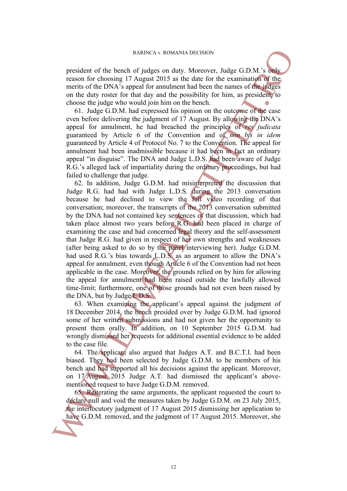president of the bench of judges on duty. Moreover, Judge G.D.M.'s only reason for choosing 17 August 2015 as the date for the examination of the merits of the DNA's appeal for annulment had been the names of the judges on the duty roster for that day and the possibility for him, as president, to choose the judge who would join him on the bench.

<span id="page-11-0"></span>61. Judge G.D.M. had expressed his opinion on the outcome of the case even before delivering the judgment of 17 August. By allowing the DNA's appeal for annulment, he had breached the principles of *res judicata* guaranteed by Article 6 of the Convention and of *non bis in idem* guaranteed by Article 4 of Protocol No. 7 to the Convention. The appeal for annulment had been inadmissible because it had been in fact an ordinary appeal "in disguise". The DNA and Judge L.D.S. had been aware of Judge R.G.'s alleged lack of impartiality during the ordinary proceedings, but had failed to challenge that judge.

62. In addition, Judge G.D.M. had misinterpreted the discussion that Judge R.G. had had with Judge L.D.S. during the 2013 conversation because he had declined to view the full video recording of that conversation; moreover, the transcripts of the 2013 conversation submitted by the DNA had not contained key sentences of that discussion, which had taken place almost two years before R.G. had been placed in charge of examining the case and had concerned legal theory and the self-assessment that Judge R.G. had given in respect of her own strengths and weaknesses (after being asked to do so by the panel interviewing her). Judge G.D.M. had used R.G.'s bias towards L.D.S. as an argument to allow the DNA's appeal for annulment, even though Article 6 of the Convention had not been applicable in the case. Moreover, the grounds relied on by him for allowing the appeal for annulment had been raised outside the lawfully allowed time-limit; furthermore, one of those grounds had not even been raised by the DNA, but by Judge L.D.S. mesident of the bench of judges on dary Moreauver, Judge GDM<sup>1</sup>'s engines are the bench of public method of the DNA supposed for analy matrix of the DMA supposed for analy and the possibility for him, as presidents of th

63. When examining the applicant's appeal against the judgment of 18 December 2014, the bench presided over by Judge G.D.M. had ignored some of her written submissions and had not given her the opportunity to present them orally. In addition, on 10 September 2015 G.D.M. had wrongly dismissed her requests for additional essential evidence to be added to the case file.

64. The applicant also argued that Judges A.T. and B.C.T.I. had been biased. They had been selected by Judge G.D.M. to be members of his bench and had supported all his decisions against the applicant. Moreover, on 17 August 2015 Judge A.T. had dismissed the applicant's abovementioned request to have Judge G.D.M. removed.

65. Reiterating the same arguments, the applicant requested the court to declare null and void the measures taken by Judge G.D.M. on 23 July 2015, the interlocutory judgment of 17 August 2015 dismissing her application to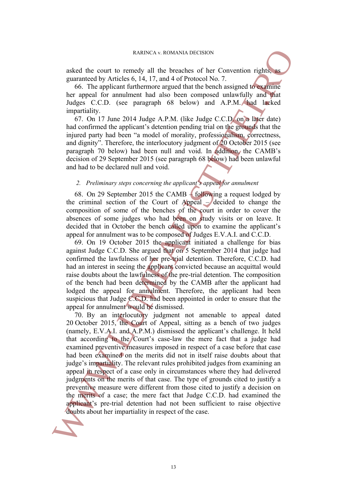asked the court to remedy all the breaches of her Convention rights, as guaranteed by Articles 6, 14, 17, and 4 of Protocol No. 7.

66. The applicant furthermore argued that the bench assigned to examine her appeal for annulment had also been composed unlawfully and that Judges C.C.D. (see paragraph 68 below) and A.P.M. had lacked impartiality.

67. On 17 June 2014 Judge A.P.M. (like Judge C.C.D. on a later date) had confirmed the applicant's detention pending trial on the grounds that the injured party had been "a model of morality, professionalism, correctness, and dignity". Therefore, the interlocutory judgment of 20 October 2015 (see paragraph 70 below) had been null and void. In addition, the CAMB's decision of 29 September 2015 (see paragraph 68 below) had been unlawful and had to be declared null and void.

### *2. Preliminary steps concerning the applicant's appeal for annulment*

<span id="page-12-0"></span>68. On 29 September 2015 the CAMB – following a request lodged by the criminal section of the Court of Appeal  $-\prime$  decided to change the composition of some of the benches of the court in order to cover the absences of some judges who had been on study visits or on leave. It decided that in October the bench called upon to examine the applicant's appeal for annulment was to be composed of Judges E.V.A.I. and C.C.D.

<span id="page-12-1"></span>69. On 19 October 2015 the applicant initiated a challenge for bias against Judge C.C.D. She argued that on 5 September 2014 that judge had confirmed the lawfulness of her pre-trial detention. Therefore, C.C.D. had had an interest in seeing the applicant convicted because an acquittal would raise doubts about the lawfulness of the pre-trial detention. The composition of the bench had been determined by the CAMB after the applicant had lodged the appeal for annulment. Therefore, the applicant had been suspicious that Judge  $\mathcal{C}$ . C.D. had been appointed in order to ensure that the appeal for annulment would be dismissed.

70. By an interlocutory judgment not amenable to appeal dated 20 October 2015, the Court of Appeal, sitting as a bench of two judges (namely, E.V.A.I. and A.P.M.) dismissed the applicant's challenge. It held that according to the Court's case-law the mere fact that a judge had examined preventive measures imposed in respect of a case before that case had been examined on the merits did not in itself raise doubts about that judge's impartiality. The relevant rules prohibited judges from examining an appeal in respect of a case only in circumstances where they had delivered judgments on the merits of that case. The type of grounds cited to justify a preventive measure were different from those cited to justify a decision on the merits of a case; the mere fact that Judge C.C.D. had examined the applicant's pre-trial detention had not been sufficient to raise objective acked the court in tensels at a contonion for the case. Solution for the case of the case of the case of the case. The papelicant intelleptomatic in the band assigned that the band assigned that the band assigned that the

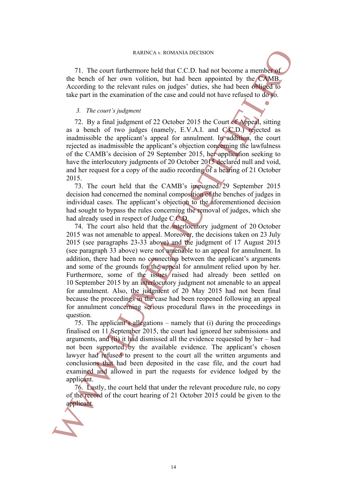71. The court furthermore held that C.C.D. had not become a member of the bench of her own volition, but had been appointed by the CAMB. According to the relevant rules on judges' duties, she had been obliged to take part in the examination of the case and could not have refused to do so.

#### *3. The court's judgment*

<span id="page-13-0"></span>72. By a final judgment of 22 October 2015 the Court of Appeal, sitting as a bench of two judges (namely, E.V.A.I. and C.C.D.) rejected as inadmissible the applicant's appeal for annulment. In addition, the court rejected as inadmissible the applicant's objection concerning the lawfulness of the CAMB's decision of 29 September 2015, her application seeking to have the interlocutory judgments of 20 October 2015 declared null and void, and her request for a copy of the audio recording of a hearing of 21 October 2015.

73. The court held that the CAMB's impugned 29 September 2015 decision had concerned the nominal composition of the benches of judges in individual cases. The applicant's objection to the aforementioned decision had sought to bypass the rules concerning the removal of judges, which she had already used in respect of Judge C.C.D.

74. The court also held that the interlocutory judgment of 20 October 2015 was not amenable to appeal. Moreover, the decisions taken on 23 July 2015 (see paragraphs 23-33 above) and the judgment of 17 August 2015 (see paragraph 33 above) were not amenable to an appeal for annulment. In addition, there had been no connection between the applicant's arguments and some of the grounds for the appeal for annulment relied upon by her. Furthermore, some of the issues raised had already been settled on 10 September 2015 by an interlocutory judgment not amenable to an appeal for annulment. Also, the judgment of 20 May 2015 had not been final because the proceedings in the case had been reopened following an appeal for annulment concerning serious procedural flaws in the proceedings in question. **EXERCA V.** ROMANIA DECISION<br>
21. The cutre furthermore held that CCD. had not become a memberate<br>
the bonds of the role of which with the CCD. had not become a memberate<br>
the bonds of the relevant rules on judges' duties

75. The applicant's allegations – namely that (i) during the proceedings finalised on 11 September 2015, the court had ignored her submissions and arguments, and  $(ii)$  it had dismissed all the evidence requested by her – had not been supported by the available evidence. The applicant's chosen lawyer had refused to present to the court all the written arguments and conclusions that had been deposited in the case file, and the court had examined and allowed in part the requests for evidence lodged by the applicant.

<span id="page-13-1"></span>76. Lastly, the court held that under the relevant procedure rule, no copy of the record of the court hearing of 21 October 2015 could be given to the

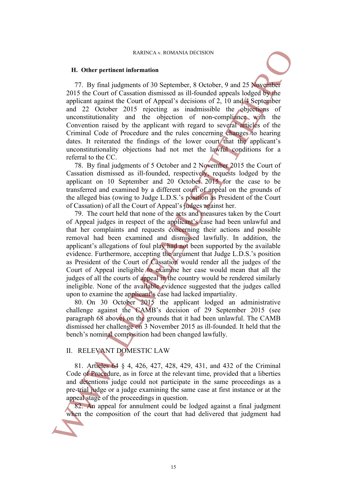#### RARINCA v. ROMANIA DECISION

#### **H. Other pertinent information**

77. By final judgments of 30 September, 8 October, 9 and 25 November 2015 the Court of Cassation dismissed as ill-founded appeals lodged by the applicant against the Court of Appeal's decisions of 2, 10 and 4 September and 22 October 2015 rejecting as inadmissible the objections of unconstitutionality and the objection of non-compliance with the Convention raised by the applicant with regard to several articles of the Criminal Code of Procedure and the rules concerning changes to hearing dates. It reiterated the findings of the lower court that the applicant's unconstitutionality objections had not met the lawful conditions for a referral to the CC.

<span id="page-14-2"></span><span id="page-14-1"></span>78. By final judgments of 5 October and 2 November 2015 the Court of Cassation dismissed as ill-founded, respectively, requests lodged by the applicant on 10 September and 20 October 2015 for the case to be transferred and examined by a different court of appeal on the grounds of the alleged bias (owing to Judge L.D.S.'s position as President of the Court of Cassation) of all the Court of Appeal's judges against her.

79. The court held that none of the acts and measures taken by the Court of Appeal judges in respect of the applicant's case had been unlawful and that her complaints and requests concerning their actions and possible removal had been examined and dismissed lawfully. In addition, the applicant's allegations of foul play had not been supported by the available evidence. Furthermore, accepting the argument that Judge L.D.S.'s position as President of the Court of Cassation would render all the judges of the Court of Appeal ineligible to examine her case would mean that all the judges of all the courts of appeal in the country would be rendered similarly ineligible. None of the available evidence suggested that the judges called upon to examine the applicant's case had lacked impartiality. RABING AN EXISTENCY AND DECISION<br>
7.7. By Imal judgments of 30 September, 8 October, 9 and 2 S May embed<br>
2015 the Court of Causation dismissed as ill-founded uppeals lodged Figure<br>
applicant against the Court of Appeals

<span id="page-14-0"></span>80. On 30 October 2015 the applicant lodged an administrative challenge against the CAMB's decision of 29 September 2015 (see paragraph 68 above) on the grounds that it had been unlawful. The CAMB dismissed her challenge on 3 November 2015 as ill-founded. It held that the bench's nominal composition had been changed lawfully.

## II. RELEVANT DOMESTIC LAW

81. Articles 64 § 4, 426, 427, 428, 429, 431, and 432 of the Criminal Code of Procedure, as in force at the relevant time, provided that a liberties and detentions judge could not participate in the same proceedings as a pre-trial judge or a judge examining the same case at first instance or at the appeal stage of the proceedings in question.

82. An appeal for annulment could be lodged against a final judgment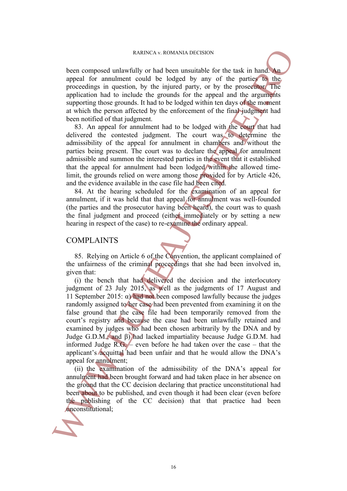#### RARINCA v. ROMANIA DECISION

been composed unlawfully or had been unsuitable for the task in hand. An appeal for annulment could be lodged by any of the parties to the proceedings in question, by the injured party, or by the prosecutor. The application had to include the grounds for the appeal and the arguments supporting those grounds. It had to be lodged within ten days of the moment at which the person affected by the enforcement of the final judgment had been notified of that judgment.

83. An appeal for annulment had to be lodged with the court that had delivered the contested judgment. The court was to determine the admissibility of the appeal for annulment in chambers and without the parties being present. The court was to declare the appeal for annulment admissible and summon the interested parties in the event that it established that the appeal for annulment had been lodged within the allowed timelimit, the grounds relied on were among those provided for by Article 426, and the evidence available in the case file had been cited.

84. At the hearing scheduled for the examination of an appeal for annulment, if it was held that that appeal for annulment was well-founded (the parties and the prosecutor having been heard), the court was to quash the final judgment and proceed (either immediately or by setting a new hearing in respect of the case) to re-examine the ordinary appeal.

### COMPLAINTS

<span id="page-15-0"></span>85. Relying on Article 6 of the Convention, the applicant complained of the unfairness of the criminal proceedings that she had been involved in, given that:

(i) the bench that had delivered the decision and the interlocutory judgment of 23 July 2015, as well as the judgments of 17 August and 11 September 2015:  $\alpha$ ) had not been composed lawfully because the judges randomly assigned to her case had been prevented from examining it on the false ground that the case file had been temporarily removed from the court's registry and because the case had been unlawfully retained and examined by judges who had been chosen arbitrarily by the DNA and by Judge G.D.M.; and β) had lacked impartiality because Judge G.D.M. had informed Judge  $R.G.$  – even before he had taken over the case – that the applicant's acquittal had been unfair and that he would allow the DNA's appeal for annulment; Reason computed unknown which be the beam unsulful for the task in hand appeal for annihimate of the bottle in the same of the participation and the intervention of the particular principation and to include the grounds f

(ii) the examination of the admissibility of the DNA's appeal for annulment had been brought forward and had taken place in her absence on the ground that the CC decision declaring that practice unconstitutional had been about to be published, and even though it had been clear (even before the publishing of the CC decision) that that practice had been

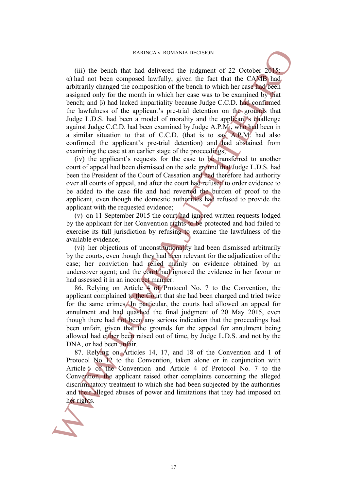(iii) the bench that had delivered the judgment of 22 October 2015:  $\alpha$ ) had not been composed lawfully, given the fact that the CAMB had. arbitrarily changed the composition of the bench to which her case had been assigned only for the month in which her case was to be examined by that bench; and β) had lacked impartiality because Judge C.C.D. had confirmed the lawfulness of the applicant's pre-trial detention on the grounds that Judge L.D.S. had been a model of morality and the applicant's challenge against Judge C.C.D. had been examined by Judge A.P.M., who had been in a similar situation to that of C.C.D. (that is to say A.P.M. had also confirmed the applicant's pre-trial detention) and had abstained from examining the case at an earlier stage of the proceedings; EVALUATION INTERTATIVE CONSULATIONS CONDUSTRATES.<br>
(iii) the bench that had delivered the judgment of 22 October 2014<br>
and had delivered the composited by with the first that the CAMB had<br>
antitrarity changed the composit

(iv) the applicant's requests for the case to be transferred to another court of appeal had been dismissed on the sole ground that Judge L.D.S. had been the President of the Court of Cassation and had therefore had authority over all courts of appeal, and after the court had refused to order evidence to be added to the case file and had reverted the burden of proof to the applicant, even though the domestic authorities had refused to provide the applicant with the requested evidence;

(v) on 11 September 2015 the court had ignored written requests lodged by the applicant for her Convention rights to be protected and had failed to exercise its full jurisdiction by refusing to examine the lawfulness of the available evidence;

(vi) her objections of unconstitutionality had been dismissed arbitrarily by the courts, even though they had been relevant for the adjudication of the case; her conviction had relied mainly on evidence obtained by an undercover agent; and the court had ignored the evidence in her favour or had assessed it in an incorrect manner.

86. Relying on Article 4 of Protocol No. 7 to the Convention, the applicant complained to the Court that she had been charged and tried twice for the same crimes. In particular, the courts had allowed an appeal for annulment and had quashed the final judgment of 20 May 2015, even though there had not been any serious indication that the proceedings had been unfair, given that the grounds for the appeal for annulment being allowed had either been raised out of time, by Judge L.D.S. and not by the DNA, or had been unfair.

<span id="page-16-0"></span>87. Relying on Articles 14, 17, and 18 of the Convention and 1 of Protocol No. 12 to the Convention, taken alone or in conjunction with Article 6 of the Convention and Article 4 of Protocol No. 7 to the Convention, the applicant raised other complaints concerning the alleged discriminatory treatment to which she had been subjected by the authorities and their alleged abuses of power and limitations that they had imposed on

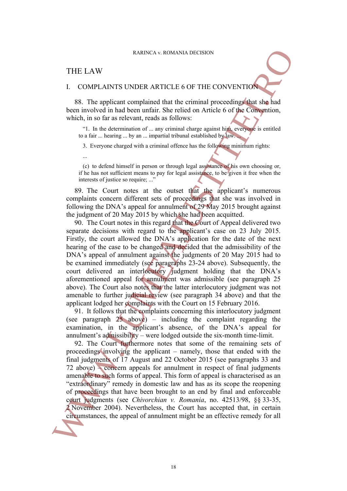## THE LAW

...

#### I. COMPLAINTS UNDER ARTICLE 6 OF THE CONVENTION

88. The applicant complained that the criminal proceedings that she had been involved in had been unfair. She relied on Article 6 of the Convention, which, in so far as relevant, reads as follows:

"1. In the determination of ... any criminal charge against him, everyone is entitled to a fair ... hearing ... by an ... impartial tribunal established by law. ...

3. Everyone charged with a criminal offence has the following minimum rights:

(c) to defend himself in person or through legal assistance of his own choosing or, if he has not sufficient means to pay for legal assistance, to be given it free when the interests of justice so require; ..."

89. The Court notes at the outset that the applicant's numerous complaints concern different sets of proceedings that she was involved in following the DNA's appeal for annulment of 29 May 2015 brought against the judgment of 20 May 2015 by which she had been acquitted.

90. The Court notes in this regard that the Court of Appeal delivered two separate decisions with regard to the applicant's case on 23 July 2015. Firstly, the court allowed the DNA's application for the date of the next hearing of the case to be changed and decided that the admissibility of the DNA's appeal of annulment against the judgments of 20 May 2015 had to be examined immediately (see paragraphs 23-24 above). Subsequently, the court delivered an interlocutory judgment holding that the DNA's aforementioned appeal for annulment was admissible (see paragraph 25 above). The Court also notes that the latter interlocutory judgment was not amenable to further judicial review (see paragraph 34 above) and that the applicant lodged her complaints with the Court on 15 February 2016. FIRE LAW RARKS AND THE CONTRACT CONTRACT CONTRACT CONTRACT CONTRACT CONTRACT CONTRACT CONTRACT CONTRACT CONTRACT CONTRACT CONTRACT CONTRACT CONTRACT CONTRACT CONTRACT CONTRACT CONTRACT CONTRACT CONTRACT CONTRACT CONTRACT

91. It follows that the complaints concerning this interlocutory judgment (see paragraph  $25$  above) – including the complaint regarding the examination, in the applicant's absence, of the DNA's appeal for annulment's admissibility – were lodged outside the six-month time-limit.

92. The Court furthermore notes that some of the remaining sets of proceedings involving the applicant – namely, those that ended with the final judgments of 17 August and 22 October 2015 (see paragraphs 33 and 72 above) – concern appeals for annulment in respect of final judgments amenable to such forms of appeal. This form of appeal is characterised as an "extraordinary" remedy in domestic law and has as its scope the reopening of proceedings that have been brought to an end by final and enforceable court judgments (see *Chivorchian v. Romania*, no. 42513/98, §§ 33-35, 2 November 2004). Nevertheless, the Court has accepted that, in certain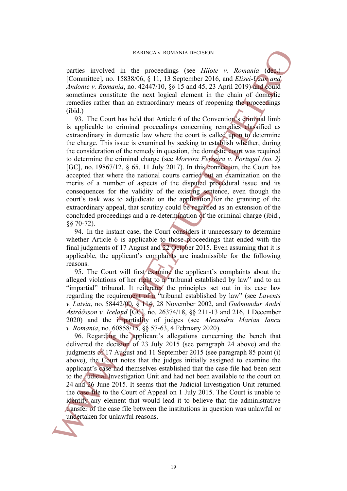parties involved in the proceedings (see *Hilote v. Romania* (dec.) [Committee], no. 15838/06, § 11, 13 September 2016, and *Elisei-Uzun and Andonie v. Romania*, no. 42447/10, §§ 15 and 45, 23 April 2019) and could sometimes constitute the next logical element in the chain of domestic remedies rather than an extraordinary means of reopening the proceedings (ibid.)

93. The Court has held that Article 6 of the Convention's criminal limb is applicable to criminal proceedings concerning remedies classified as extraordinary in domestic law where the court is called upon to determine the charge. This issue is examined by seeking to establish whether, during the consideration of the remedy in question, the domestic court was required to determine the criminal charge (see *Moreira Ferreira v. Portugal (no. 2)* [GC], no. 19867/12, § 65, 11 July 2017). In this connection, the Court has accepted that where the national courts carried out an examination on the merits of a number of aspects of the disputed procedural issue and its consequences for the validity of the existing sentence, even though the court's task was to adjudicate on the application for the granting of the extraordinary appeal, that scrutiny could be regarded as an extension of the concluded proceedings and a re-determination of the criminal charge (ibid., §§ 70-72). Ratines involved in the proachunity (see *Thirte v. Romania* (Committee), the 15838306, \$11,13 Syptem 2016, ond *Eliset-Uffmania Lational Adologie v. Romania Adologie v. Romania Committees* the *Romania Committe* 

94. In the instant case, the Court considers it unnecessary to determine whether Article 6 is applicable to those proceedings that ended with the final judgments of 17 August and 22 October 2015. Even assuming that it is applicable, the applicant's complaints are inadmissible for the following reasons.

95. The Court will first examine the applicant's complaints about the alleged violations of her right to a "tribunal established by law" and to an "impartial" tribunal. It reiterates the principles set out in its case law regarding the requirement of a "tribunal established by law" (see *Lavents v. Latvia*, no. 58442/00, § 114, 28 November 2002, and *Guðmundur Andri Ástráðsson v. Iceland* [GC], no. 26374/18, §§ 211-13 and 216, 1 December 2020) and the impartiality of judges (see *Alexandru Marian Iancu v. Romania*, no. 60858/15, §§ 57-63, 4 February 2020).

96. Regarding the applicant's allegations concerning the bench that delivered the decision of 23 July 2015 (see paragraph 24 above) and the judgments of 17 August and 11 September 2015 (see paragraph 85 point (i) above), the Court notes that the judges initially assigned to examine the applicant's case had themselves established that the case file had been sent to the Judicial Investigation Unit and had not been available to the court on 24 and 26 June 2015. It seems that the Judicial Investigation Unit returned the case file to the Court of Appeal on 1 July 2015. The Court is unable to identify any element that would lead it to believe that the administrative transfer of the case file between the institutions in question was unlawful or

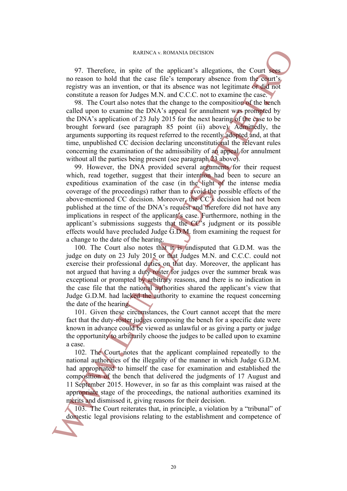97. Therefore, in spite of the applicant's allegations, the Court sees no reason to hold that the case file's temporary absence from the court's registry was an invention, or that its absence was not legitimate or did not constitute a reason for Judges M.N. and C.C.C. not to examine the case.

98. The Court also notes that the change to the composition of the bench called upon to examine the DNA's appeal for annulment was prompted by the DNA's application of 23 July 2015 for the next hearing of the case to be brought forward (see paragraph 85 point (ii) above). Admittedly, the arguments supporting its request referred to the recently adopted and, at that time, unpublished CC decision declaring unconstitutional the relevant rules concerning the examination of the admissibility of an appeal for annulment without all the parties being present (see paragraph 23 above).

99. However, the DNA provided several arguments for their request which, read together, suggest that their intention had been to secure an expeditious examination of the case (in the light of the intense media coverage of the proceedings) rather than to avoid the possible effects of the above-mentioned CC decision. Moreover, the CC's decision had not been published at the time of the DNA's request and therefore did not have any implications in respect of the applicant's case. Furthermore, nothing in the applicant's submissions suggests that the CC's judgment or its possible effects would have precluded Judge G.D.M. from examining the request for a change to the date of the hearing. 97. Therefore, in space of the applicants allegations, the Court moreover and the entry of the entry interest of the establishment and competence and investigative was an investigate was an investigate was an investigate

100. The Court also notes that it is undisputed that G.D.M. was the judge on duty on 23 July 2015 or that Judges M.N. and C.C.C. could not exercise their professional duties on that day. Moreover, the applicant has not argued that having a duty roster for judges over the summer break was exceptional or prompted by arbitrary reasons, and there is no indication in the case file that the national authorities shared the applicant's view that Judge G.D.M. had lacked the authority to examine the request concerning the date of the hearing.

101. Given these circumstances, the Court cannot accept that the mere fact that the duty-roster judges composing the bench for a specific date were known in advance could be viewed as unlawful or as giving a party or judge the opportunity to arbitrarily choose the judges to be called upon to examine a case.

102. The Court notes that the applicant complained repeatedly to the national authorities of the illegality of the manner in which Judge G.D.M. had appropriated to himself the case for examination and established the composition of the bench that delivered the judgments of 17 August and 11 September 2015. However, in so far as this complaint was raised at the appropriate stage of the proceedings, the national authorities examined its merits and dismissed it, giving reasons for their decision.

103. The Court reiterates that, in principle, a violation by a "tribunal" of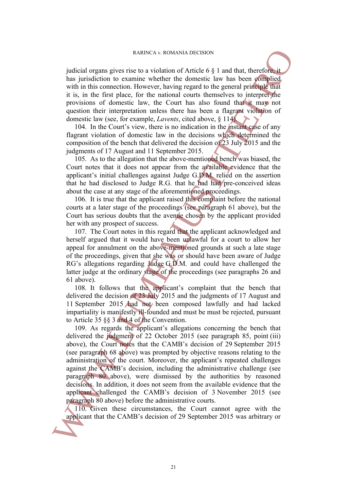judicial organs gives rise to a violation of Article 6 § 1 and that, therefore, it has jurisdiction to examine whether the domestic law has been complied. with in this connection. However, having regard to the general principle that it is, in the first place, for the national courts themselves to interpret the provisions of domestic law, the Court has also found that it may not question their interpretation unless there has been a flagrant violation of domestic law (see, for example, *Lavents*, cited above, § 114).

104. In the Court's view, there is no indication in the instant case of any flagrant violation of domestic law in the decisions which determined the composition of the bench that delivered the decision of 23 July 2015 and the judgments of 17 August and 11 September 2015.

105. As to the allegation that the above-mentioned bench was biased, the Court notes that it does not appear from the available evidence that the applicant's initial challenges against Judge G.D.M. relied on the assertion that he had disclosed to Judge R.G. that he had had pre-conceived ideas about the case at any stage of the aforementioned proceedings.

106. It is true that the applicant raised this complaint before the national courts at a later stage of the proceedings (see paragraph 61 above), but the Court has serious doubts that the avenue chosen by the applicant provided her with any prospect of success.

107. The Court notes in this regard that the applicant acknowledged and herself argued that it would have been unlawful for a court to allow her appeal for annulment on the above-mentioned grounds at such a late stage of the proceedings, given that she was or should have been aware of Judge RG's allegations regarding Judge G.D.M. and could have challenged the latter judge at the ordinary stage of the proceedings (see paragraphs 26 and 61 above).

108. It follows that the applicant's complaint that the bench that delivered the decision of 23 July 2015 and the judgments of 17 August and 11 September 2015 had not been composed lawfully and had lacked impartiality is manifestly ill-founded and must be must be rejected, pursuant to Article 35 §§ 3 and 4 of the Convention.

109. As regards the applicant's allegations concerning the bench that delivered the judgment of 22 October 2015 (see paragraph 85, point (iii) above), the Court notes that the CAMB's decision of 29 September 2015 (see paragraph 68 above) was prompted by objective reasons relating to the administration of the court. Moreover, the applicant's repeated challenges against the CAMB's decision, including the administrative challenge (see paragraph 80 above), were dismissed by the authorities by reasoned decisions. In addition, it does not seem from the available evidence that the applicant challenged the CAMB's decision of 3 November 2015 (see paragraph 80 above) before the administrative courts. applicant that the control of Article 6 S 1 and that therefore in the Society or Michle 6 S 1 and that therefore in the association. However, having regard to the general purchase in the society of domestic law. the CAMB

110. Given these circumstances, the Court cannot agree with the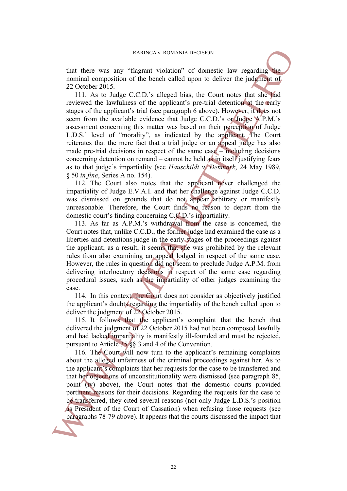that there was any "flagrant violation" of domestic law regarding the nominal composition of the bench called upon to deliver the judgment of 22 October 2015.

111. As to Judge C.C.D.'s alleged bias, the Court notes that she had reviewed the lawfulness of the applicant's pre-trial detention at the early stages of the applicant's trial (see paragraph 6 above). However, it does not seem from the available evidence that Judge C.C.D.'s or Judge A.P.M.'s assessment concerning this matter was based on their perception of Judge L.D.S.' level of "morality", as indicated by the applicant. The Court reiterates that the mere fact that a trial judge or an appeal judge has also made pre-trial decisions in respect of the same case – including decisions concerning detention on remand – cannot be held as in itself justifying fears as to that judge's impartiality (see *Hauschildt v. Denmark*, 24 May 1989, § 50 *in fine*, Series A no. 154). RABRACA v. ROMANIA DECISION<br>mominal composition of the bench stable divorped to the integral to 22 October 2015. It also be courts discussed the law lambs and the implicant's part and the court mois that the endpoint<br>stat

112. The Court also notes that the applicant never challenged the impartiality of Judge E.V.A.I. and that her challenge against Judge C.C.D. was dismissed on grounds that do not appear arbitrary or manifestly unreasonable. Therefore, the Court finds no reason to depart from the domestic court's finding concerning C.C.D.'s impartiality.

113. As far as A.P.M.'s withdrawal from the case is concerned, the Court notes that, unlike C.C.D., the former judge had examined the case as a liberties and detentions judge in the early stages of the proceedings against the applicant; as a result, it seems that she was prohibited by the relevant rules from also examining an appeal lodged in respect of the same case. However, the rules in question did not seem to preclude Judge A.P.M. from delivering interlocutory decisions in respect of the same case regarding procedural issues, such as the impartiality of other judges examining the case.

114. In this context, the Court does not consider as objectively justified the applicant's doubts regarding the impartiality of the bench called upon to deliver the judgment of 22 October 2015.

115. It follows that the applicant's complaint that the bench that delivered the judgment of 22 October 2015 had not been composed lawfully and had lacked impartiality is manifestly ill-founded and must be rejected, pursuant to Article 35 §§ 3 and 4 of the Convention.

116. The Court will now turn to the applicant's remaining complaints about the alleged unfairness of the criminal proceedings against her. As to the applicant's complaints that her requests for the case to be transferred and that her objections of unconstitutionality were dismissed (see paragraph 85, point (iv) above), the Court notes that the domestic courts provided pertinent reasons for their decisions. Regarding the requests for the case to be transferred, they cited several reasons (not only Judge L.D.S.'s position as President of the Court of Cassation) when refusing those requests (see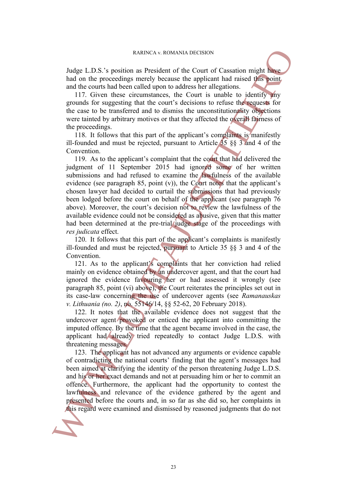Judge L.D.S.'s position as President of the Court of Cassation might have had on the proceedings merely because the applicant had raised this point and the courts had been called upon to address her allegations.

117. Given these circumstances, the Court is unable to identify any grounds for suggesting that the court's decisions to refuse the requests for the case to be transferred and to dismiss the unconstitutionality objections were tainted by arbitrary motives or that they affected the overall fairness of the proceedings.

118. It follows that this part of the applicant's complaints is manifestly ill-founded and must be rejected, pursuant to Article 35 §§ 3 and 4 of the Convention.

119. As to the applicant's complaint that the court that had delivered the judgment of 11 September 2015 had ignored some of her written submissions and had refused to examine the lawfulness of the available evidence (see paragraph  $85$ , point  $(v)$ ), the Court notes that the applicant's chosen lawyer had decided to curtail the submissions that had previously been lodged before the court on behalf of the applicant (see paragraph 76 above). Moreover, the court's decision not to review the lawfulness of the available evidence could not be considered as abusive, given that this matter had been determined at the pre-trial judge stage of the proceedings with *res judicata* effect. Induct 1.D.S.'s position as President of the count of Cassation might had be count show that be count is and because the application of the count is and be count is a proposition of the count is a proposition of the speci

120. It follows that this part of the applicant's complaints is manifestly ill-founded and must be rejected, pursuant to Article 35 §§ 3 and 4 of the Convention.

121. As to the applicant's complaints that her conviction had relied mainly on evidence obtained by an undercover agent, and that the court had ignored the evidence favouring her or had assessed it wrongly (see paragraph 85, point (vi) above), the Court reiterates the principles set out in its case-law concerning the use of undercover agents (see *Ramanauskas v. Lithuania (no. 2)*, no. 55146/14, §§ 52-62, 20 February 2018).

122. It notes that the available evidence does not suggest that the undercover agent provoked or enticed the applicant into committing the imputed offence. By the time that the agent became involved in the case, the applicant had already tried repeatedly to contact Judge L.D.S. with threatening messages.

123. The applicant has not advanced any arguments or evidence capable of contradicting the national courts' finding that the agent's messages had been aimed at clarifying the identity of the person threatening Judge L.D.S. and his or her exact demands and not at persuading him or her to commit an offence. Furthermore, the applicant had the opportunity to contest the lawfulness and relevance of the evidence gathered by the agent and presented before the courts and, in so far as she did so, her complaints in

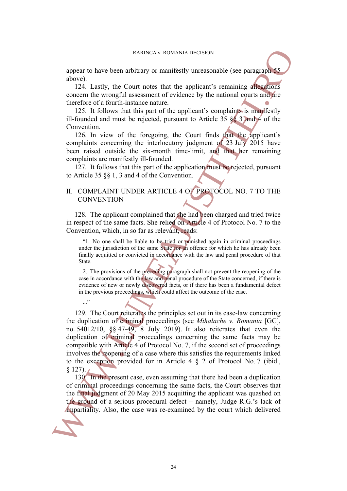appear to have been arbitrary or manifestly unreasonable (see paragraph 55 above).

124. Lastly, the Court notes that the applicant's remaining allegations concern the wrongful assessment of evidence by the national courts and are therefore of a fourth-instance nature.

125. It follows that this part of the applicant's complaints is manifestly ill-founded and must be rejected, pursuant to Article 35 §§ 3 and 4 of the Convention.

126. In view of the foregoing, the Court finds that the applicant's complaints concerning the interlocutory judgment of 23 July 2015 have been raised outside the six-month time-limit, and that her remaining complaints are manifestly ill-founded.

127. It follows that this part of the application must be rejected, pursuant to Article 35 §§ 1, 3 and 4 of the Convention.

## II. COMPLAINT UNDER ARTICLE 4 OF PROTOCOL NO. 7 TO THE **CONVENTION**

128. The applicant complained that she had been charged and tried twice in respect of the same facts. She relied on Article 4 of Protocol No. 7 to the Convention, which, in so far as relevant, reads:

"1. No one shall be liable to be tried or punished again in criminal proceedings under the jurisdiction of the same State for an offence for which he has already been finally acquitted or convicted in accordance with the law and penal procedure of that State.

2. The provisions of the preceding paragraph shall not prevent the reopening of the case in accordance with the law and penal procedure of the State concerned, if there is evidence of new or newly discovered facts, or if there has been a fundamental defect in the previous proceedings, which could affect the outcome of the case.

129. The Court reiterates the principles set out in its case-law concerning the duplication of criminal proceedings (see *Mihalache v. Romania* [GC], no. 54012/10, §§ 47-49, 8 July 2019). It also reiterates that even the duplication of criminal proceedings concerning the same facts may be compatible with Article 4 of Protocol No. 7, if the second set of proceedings involves the reopening of a case where this satisfies the requirements linked to the exception provided for in Article 4  $\S$  2 of Protocol No. 7 (ibid.,  $§$  127). EXERCA v. [RO](#page-9-0)MANIA DECISION<br>
also, the case where are during the case and the application (1924). Lastly, the Court notes that the applicant is entanging the<br>
concern the wontiful sizes were that the court which delivered

130. In the present case, even assuming that there had been a duplication of criminal proceedings concerning the same facts, the Court observes that the final judgment of 20 May 2015 acquitting the applicant was quashed on the ground of a serious procedural defect – namely, Judge R.G.'s lack of



 $\cdot$ ..."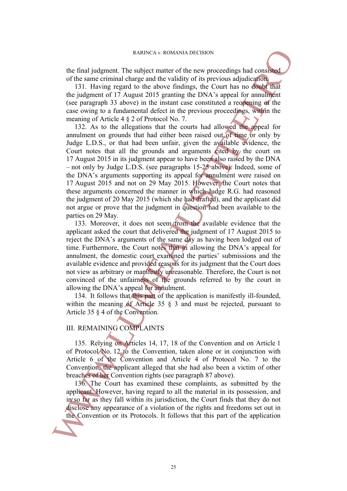the final judgment. The subject matter of the new proceedings had consisted of the same criminal charge and the validity of its previous adjudication.

131. Having regard to the above findings, the Court has no doubt that the judgment of 17 August 2015 granting the DNA's appeal for annulment (see paragraph 33 above) in the instant case constituted a reopening of the case owing to a fundamental defect in the previous proceedings, within the meaning of Article 4 § 2 of Protocol No. 7.

132. As to the allegations that the courts had allowed the appeal for annulment on grounds that had either been raised out of time or only by Judge L.D.S., or that had been unfair, given the available evidence, the Court notes that all the grounds and arguments cited by the court on 17 August 2015 in its judgment appear to have been also raised by the DNA – not only by Judge L.D.S. (see paragraphs 15-25 above). Indeed, some of the DNA's arguments supporting its appeal for annulment were raised on 17 August 2015 and not on 29 May 2015. However, the Court notes that these arguments concerned the manner in which Judge R.G. had reasoned the judgment of 20 May 2015 (which she had drafted), and the applicant did not argue or prove that the judgment in question had been available to the parties on 29 May. the final judgment Translation or its exploration or the two means of the same critical and the same of the same contribute part of the convention of the contribute part of the contribute of the contribute of the contribu

133. Moreover, it does not seem from the available evidence that the applicant asked the court that delivered the judgment of 17 August 2015 to reject the DNA's arguments of the same day as having been lodged out of time. Furthermore, the Court notes that in allowing the DNA's appeal for annulment, the domestic court examined the parties' submissions and the available evidence and provided reasons for its judgment that the Court does not view as arbitrary or manifestly unreasonable. Therefore, the Court is not convinced of the unfairness of the grounds referred to by the court in allowing the DNA's appeal for annulment.

134. It follows that this part of the application is manifestly ill-founded, within the meaning of Article 35  $\S$  3 and must be rejected, pursuant to Article 35 § 4 of the Convention.

## III. REMAINING COMPLAINTS

135. Relying on Articles 14, 17, 18 of the Convention and on Article 1 of Protocol No. 12 to the Convention, taken alone or in conjunction with Article 6 of the Convention and Article 4 of Protocol No. 7 to the Convention, the applicant alleged that she had also been a victim of other breaches of her Convention rights (see paragraph 87 above).

136. The Court has examined these complaints, as submitted by the applicant. However, having regard to all the material in its possession, and in so far as they fall within its jurisdiction, the Court finds that they do not disclose any appearance of a violation of the rights and freedoms set out in